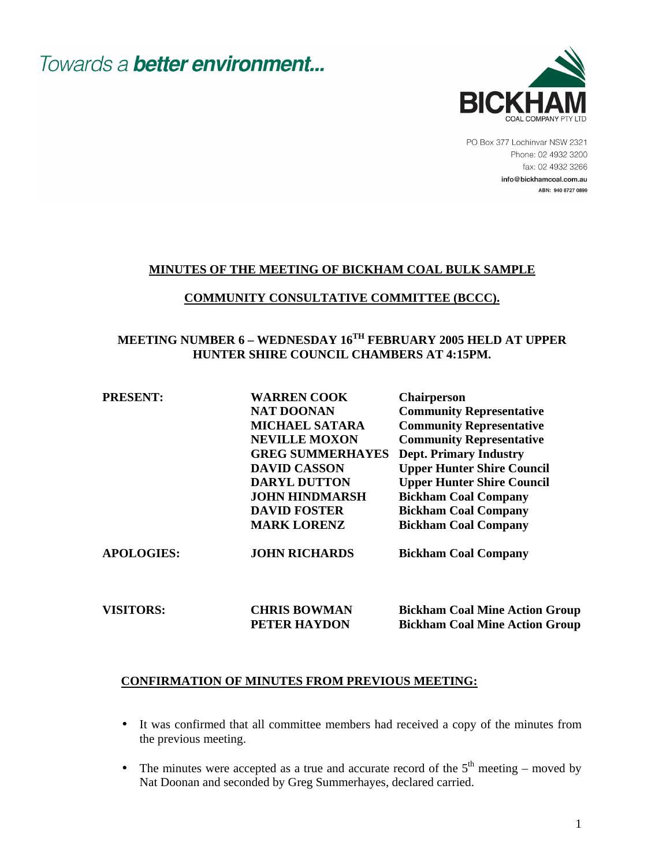

PO Box 377 Lochinvar NSW 2321 Phone: 02 4932 3200 fax: 02 4932 3266 info@bickhamcoal.com.au ABN: 940 8727 0899

#### **MINUTES OF THE MEETING OF BICKHAM COAL BULK SAMPLE**

#### **COMMUNITY CONSULTATIVE COMMITTEE (BCCC).**

### **MEETING NUMBER 6 – WEDNESDAY 16TH FEBRUARY 2005 HELD AT UPPER HUNTER SHIRE COUNCIL CHAMBERS AT 4:15PM.**

| <b>PRESENT:</b> | <b>WARREN COOK</b>                                                                                               | <b>Chairperson</b>                                                                                                                                                  |                   |                      |                                       |
|-----------------|------------------------------------------------------------------------------------------------------------------|---------------------------------------------------------------------------------------------------------------------------------------------------------------------|-------------------|----------------------|---------------------------------------|
|                 | <b>NAT DOONAN</b>                                                                                                | <b>Community Representative</b>                                                                                                                                     |                   |                      |                                       |
|                 | <b>MICHAEL SATARA</b>                                                                                            | <b>Community Representative</b>                                                                                                                                     |                   |                      |                                       |
|                 | <b>NEVILLE MOXON</b>                                                                                             | <b>Community Representative</b>                                                                                                                                     |                   |                      |                                       |
|                 | <b>GREG SUMMERHAYES</b>                                                                                          | <b>Dept. Primary Industry</b>                                                                                                                                       |                   |                      |                                       |
|                 | <b>DAVID CASSON</b><br><b>DARYL DUTTON</b><br><b>JOHN HINDMARSH</b><br><b>DAVID FOSTER</b><br><b>MARK LORENZ</b> | <b>Upper Hunter Shire Council</b><br><b>Upper Hunter Shire Council</b><br><b>Bickham Coal Company</b><br><b>Bickham Coal Company</b><br><b>Bickham Coal Company</b> |                   |                      |                                       |
|                 |                                                                                                                  |                                                                                                                                                                     | <b>APOLOGIES:</b> | <b>JOHN RICHARDS</b> | <b>Bickham Coal Company</b>           |
|                 |                                                                                                                  |                                                                                                                                                                     |                   |                      |                                       |
|                 |                                                                                                                  |                                                                                                                                                                     | <b>VISITORS:</b>  | <b>CHRIS BOWMAN</b>  | <b>Bickham Coal Mine Action Group</b> |
|                 |                                                                                                                  |                                                                                                                                                                     |                   | PETER HAYDON         | <b>Bickham Coal Mine Action Group</b> |

#### **CONFIRMATION OF MINUTES FROM PREVIOUS MEETING:**

- It was confirmed that all committee members had received a copy of the minutes from the previous meeting.
- The minutes were accepted as a true and accurate record of the  $5<sup>th</sup>$  meeting moved by Nat Doonan and seconded by Greg Summerhayes, declared carried.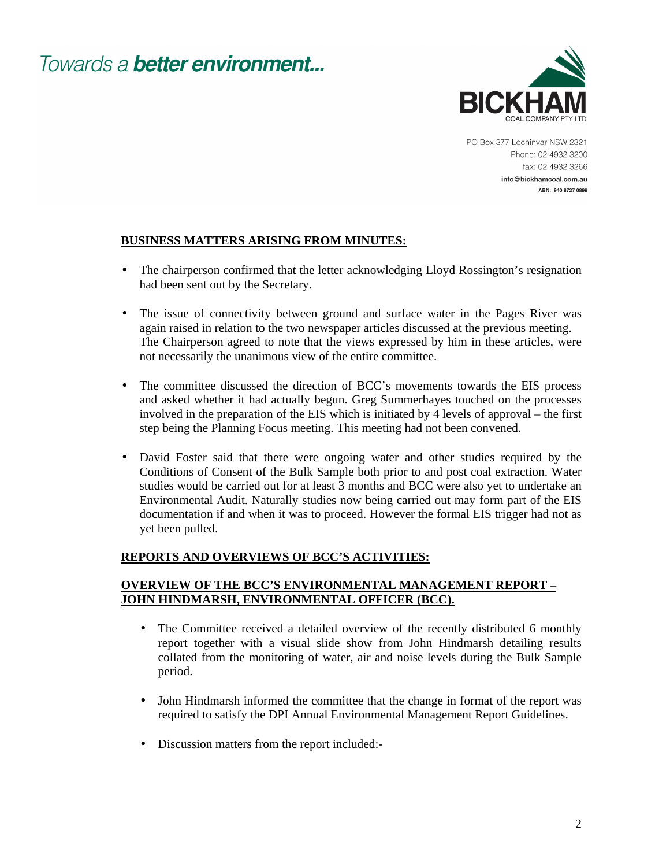

PO Box 377 Lochinvar NSW 2321 Phone: 02 4932 3200 fax: 02 4932 3266 info@bickhamcoal.com.au ABN: 940 8727 0899

### **BUSINESS MATTERS ARISING FROM MINUTES:**

- The chairperson confirmed that the letter acknowledging Lloyd Rossington's resignation had been sent out by the Secretary.
- The issue of connectivity between ground and surface water in the Pages River was again raised in relation to the two newspaper articles discussed at the previous meeting. The Chairperson agreed to note that the views expressed by him in these articles, were not necessarily the unanimous view of the entire committee.
- The committee discussed the direction of BCC's movements towards the EIS process and asked whether it had actually begun. Greg Summerhayes touched on the processes involved in the preparation of the EIS which is initiated by 4 levels of approval – the first step being the Planning Focus meeting. This meeting had not been convened.
- David Foster said that there were ongoing water and other studies required by the Conditions of Consent of the Bulk Sample both prior to and post coal extraction. Water studies would be carried out for at least 3 months and BCC were also yet to undertake an Environmental Audit. Naturally studies now being carried out may form part of the EIS documentation if and when it was to proceed. However the formal EIS trigger had not as yet been pulled.

#### **REPORTS AND OVERVIEWS OF BCC'S ACTIVITIES:**

#### **OVERVIEW OF THE BCC'S ENVIRONMENTAL MANAGEMENT REPORT – JOHN HINDMARSH, ENVIRONMENTAL OFFICER (BCC).**

- The Committee received a detailed overview of the recently distributed 6 monthly report together with a visual slide show from John Hindmarsh detailing results collated from the monitoring of water, air and noise levels during the Bulk Sample period.
- John Hindmarsh informed the committee that the change in format of the report was required to satisfy the DPI Annual Environmental Management Report Guidelines.
- Discussion matters from the report included:-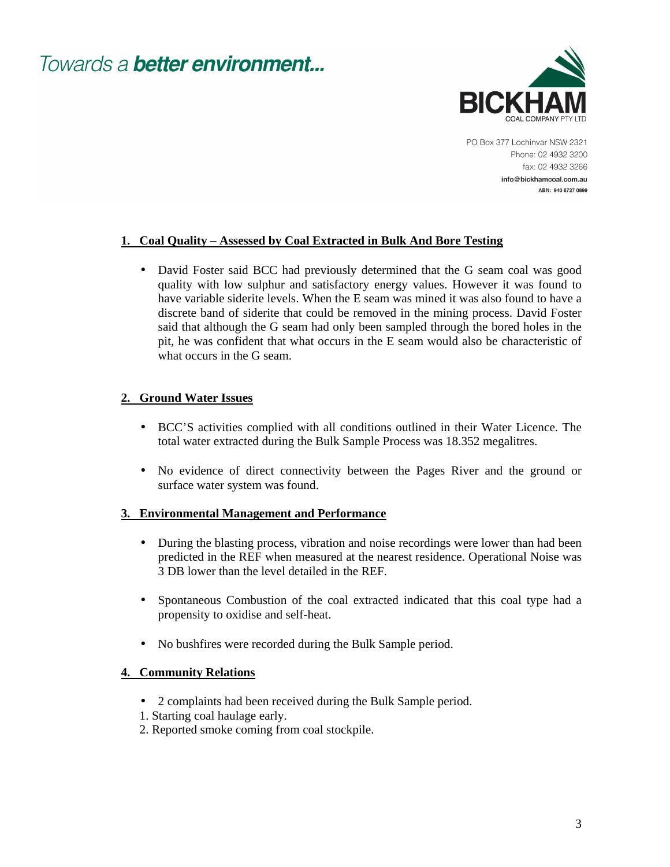

PO Box 377 Lochinvar NSW 2321 Phone: 02 4932 3200 fax: 02 4932 3266 info@bickhamcoal.com.au ABN: 940 8727 0899

### **1. Coal Quality – Assessed by Coal Extracted in Bulk And Bore Testing**

• David Foster said BCC had previously determined that the G seam coal was good quality with low sulphur and satisfactory energy values. However it was found to have variable siderite levels. When the E seam was mined it was also found to have a discrete band of siderite that could be removed in the mining process. David Foster said that although the G seam had only been sampled through the bored holes in the pit, he was confident that what occurs in the E seam would also be characteristic of what occurs in the G seam.

### **2. Ground Water Issues**

- BCC'S activities complied with all conditions outlined in their Water Licence. The total water extracted during the Bulk Sample Process was 18.352 megalitres.
- No evidence of direct connectivity between the Pages River and the ground or surface water system was found.

#### **3. Environmental Management and Performance**

- During the blasting process, vibration and noise recordings were lower than had been predicted in the REF when measured at the nearest residence. Operational Noise was 3 DB lower than the level detailed in the REF.
- Spontaneous Combustion of the coal extracted indicated that this coal type had a propensity to oxidise and self-heat.
- No bushfires were recorded during the Bulk Sample period.

#### **4. Community Relations**

- 2 complaints had been received during the Bulk Sample period.
- 1. Starting coal haulage early.
- 2. Reported smoke coming from coal stockpile.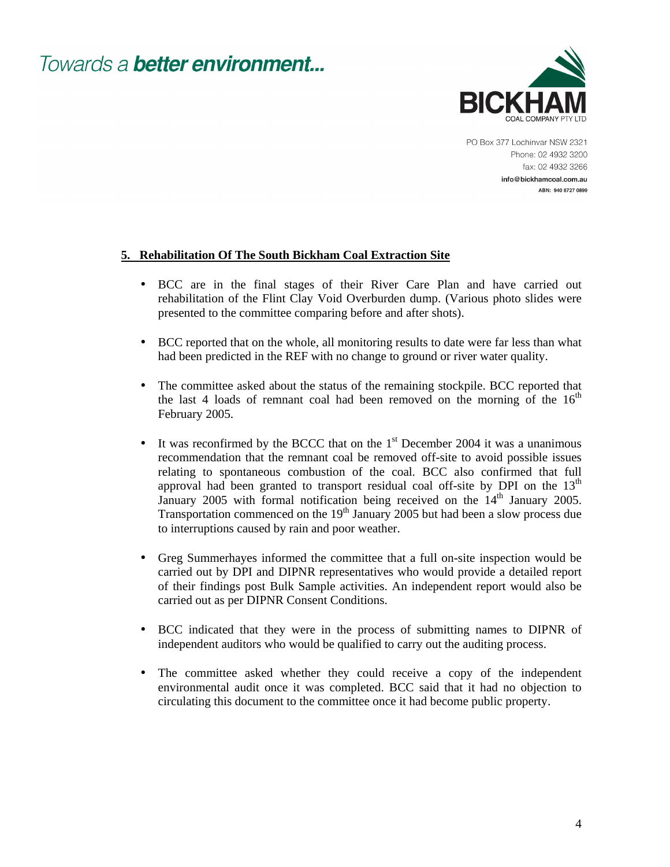

PO Box 377 Lochinvar NSW 2321 Phone: 02 4932 3200 fax: 02 4932 3266 info@bickhamcoal.com.au ABN: 940 8727 0899

#### **5. Rehabilitation Of The South Bickham Coal Extraction Site**

- BCC are in the final stages of their River Care Plan and have carried out rehabilitation of the Flint Clay Void Overburden dump. (Various photo slides were presented to the committee comparing before and after shots).
- BCC reported that on the whole, all monitoring results to date were far less than what had been predicted in the REF with no change to ground or river water quality.
- The committee asked about the status of the remaining stockpile. BCC reported that the last 4 loads of remnant coal had been removed on the morning of the  $16<sup>th</sup>$ February 2005.
- It was reconfirmed by the BCCC that on the  $1<sup>st</sup>$  December 2004 it was a unanimous recommendation that the remnant coal be removed off-site to avoid possible issues relating to spontaneous combustion of the coal. BCC also confirmed that full approval had been granted to transport residual coal off-site by DPI on the  $13<sup>th</sup>$ January 2005 with formal notification being received on the 14<sup>th</sup> January 2005. Transportation commenced on the  $19<sup>th</sup>$  January 2005 but had been a slow process due to interruptions caused by rain and poor weather.
- Greg Summerhayes informed the committee that a full on-site inspection would be carried out by DPI and DIPNR representatives who would provide a detailed report of their findings post Bulk Sample activities. An independent report would also be carried out as per DIPNR Consent Conditions.
- BCC indicated that they were in the process of submitting names to DIPNR of independent auditors who would be qualified to carry out the auditing process.
- The committee asked whether they could receive a copy of the independent environmental audit once it was completed. BCC said that it had no objection to circulating this document to the committee once it had become public property.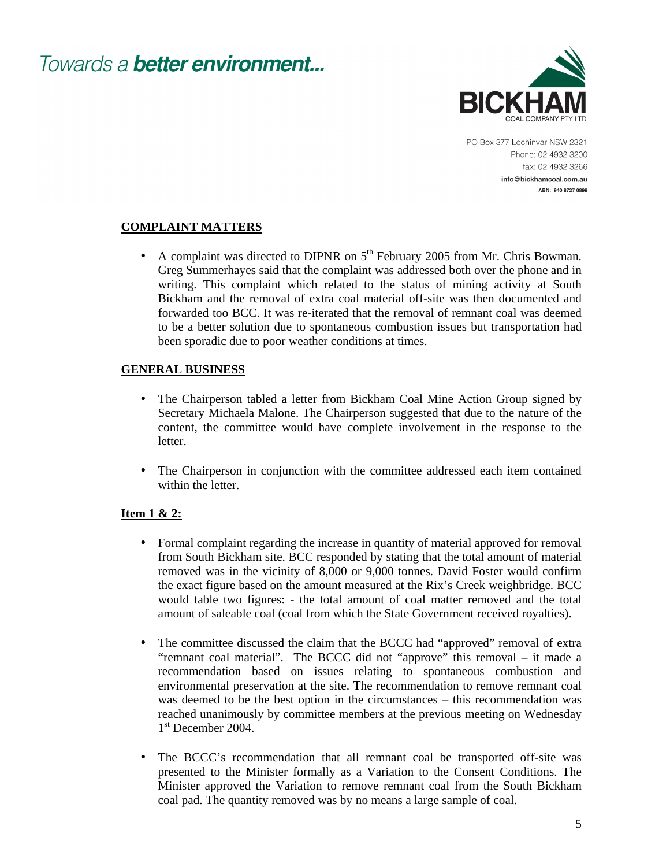

PO Box 377 Lochinvar NSW 2321 Phone: 02 4932 3200 fax: 02 4932 3266 info@bickhamcoal.com.au ABN: 940 8727 0899

### **COMPLAINT MATTERS**

• A complaint was directed to DIPNR on  $5<sup>th</sup>$  February 2005 from Mr. Chris Bowman. Greg Summerhayes said that the complaint was addressed both over the phone and in writing. This complaint which related to the status of mining activity at South Bickham and the removal of extra coal material off-site was then documented and forwarded too BCC. It was re-iterated that the removal of remnant coal was deemed to be a better solution due to spontaneous combustion issues but transportation had been sporadic due to poor weather conditions at times.

### **GENERAL BUSINESS**

- The Chairperson tabled a letter from Bickham Coal Mine Action Group signed by Secretary Michaela Malone. The Chairperson suggested that due to the nature of the content, the committee would have complete involvement in the response to the letter.
- The Chairperson in conjunction with the committee addressed each item contained within the letter.

#### **Item 1 & 2:**

- Formal complaint regarding the increase in quantity of material approved for removal from South Bickham site. BCC responded by stating that the total amount of material removed was in the vicinity of 8,000 or 9,000 tonnes. David Foster would confirm the exact figure based on the amount measured at the Rix's Creek weighbridge. BCC would table two figures: - the total amount of coal matter removed and the total amount of saleable coal (coal from which the State Government received royalties).
- The committee discussed the claim that the BCCC had "approved" removal of extra "remnant coal material". The BCCC did not "approve" this removal – it made a recommendation based on issues relating to spontaneous combustion and environmental preservation at the site. The recommendation to remove remnant coal was deemed to be the best option in the circumstances – this recommendation was reached unanimously by committee members at the previous meeting on Wednesday 1 st December 2004.
- The BCCC's recommendation that all remnant coal be transported off-site was presented to the Minister formally as a Variation to the Consent Conditions. The Minister approved the Variation to remove remnant coal from the South Bickham coal pad. The quantity removed was by no means a large sample of coal.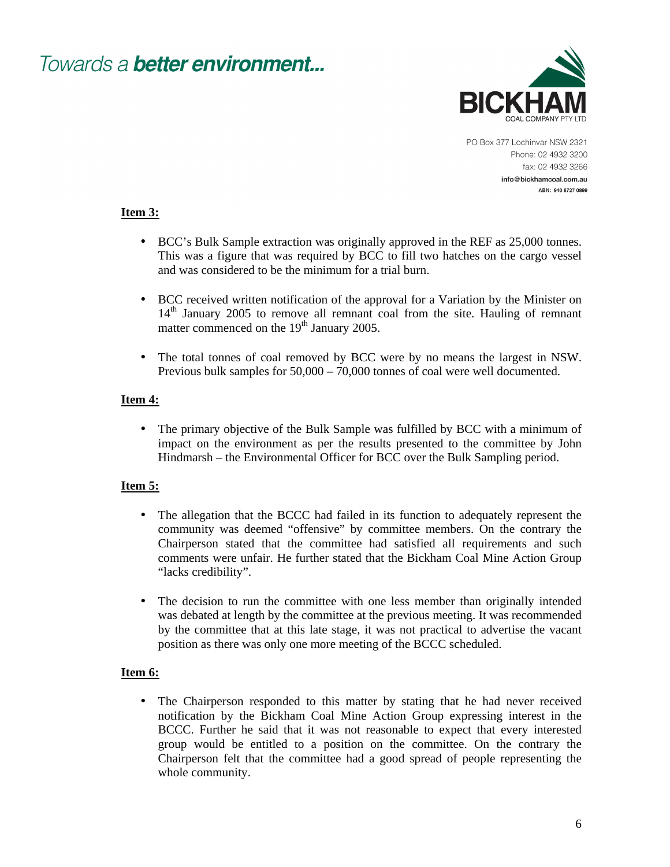

PO Box 377 Lochinvar NSW 2321 Phone: 02 4932 3200 fax: 02 4932 3266 info@bickhamcoal.com.au ABN: 940 8727 0899

#### **Item 3:**

- BCC's Bulk Sample extraction was originally approved in the REF as 25,000 tonnes. This was a figure that was required by BCC to fill two hatches on the cargo vessel and was considered to be the minimum for a trial burn.
- BCC received written notification of the approval for a Variation by the Minister on 14<sup>th</sup> January 2005 to remove all remnant coal from the site. Hauling of remnant matter commenced on the  $19<sup>th</sup>$  January 2005.
- The total tonnes of coal removed by BCC were by no means the largest in NSW. Previous bulk samples for 50,000 – 70,000 tonnes of coal were well documented.

### **Item 4:**

• The primary objective of the Bulk Sample was fulfilled by BCC with a minimum of impact on the environment as per the results presented to the committee by John Hindmarsh – the Environmental Officer for BCC over the Bulk Sampling period.

### **Item 5:**

- The allegation that the BCCC had failed in its function to adequately represent the community was deemed "offensive" by committee members. On the contrary the Chairperson stated that the committee had satisfied all requirements and such comments were unfair. He further stated that the Bickham Coal Mine Action Group "lacks credibility".
- The decision to run the committee with one less member than originally intended was debated at length by the committee at the previous meeting. It was recommended by the committee that at this late stage, it was not practical to advertise the vacant position as there was only one more meeting of the BCCC scheduled.

### **Item 6:**

• The Chairperson responded to this matter by stating that he had never received notification by the Bickham Coal Mine Action Group expressing interest in the BCCC. Further he said that it was not reasonable to expect that every interested group would be entitled to a position on the committee. On the contrary the Chairperson felt that the committee had a good spread of people representing the whole community.